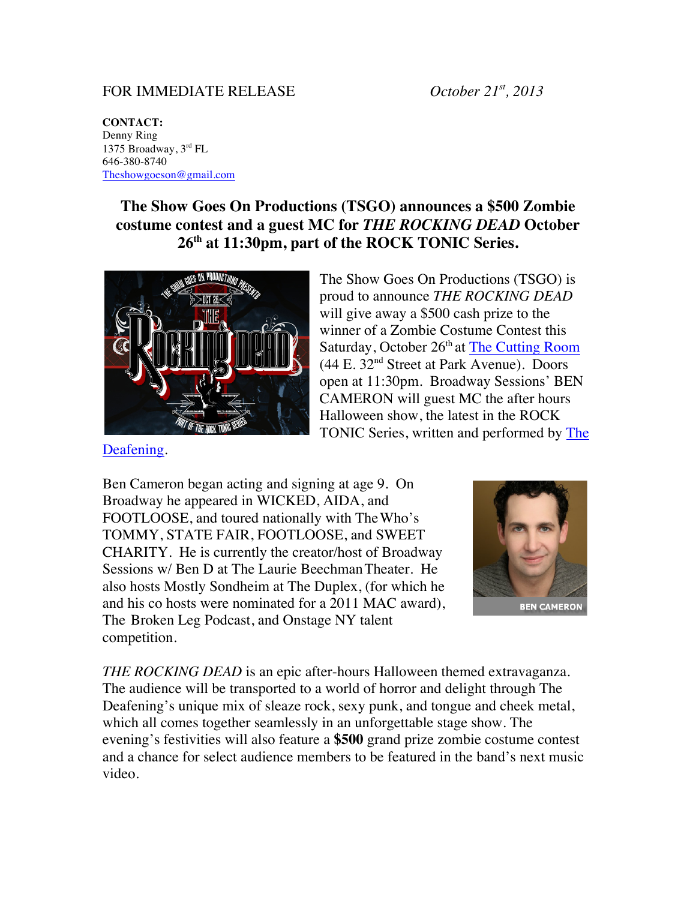## FOR IMMEDIATE RELEASE *October 21st, 2013*

**CONTACT:** Denny Ring 1375 Broadway, 3rd FL 646-380-8740 Theshowgoeson@gmail.com

## **The Show Goes On Productions (TSGO) announces a \$500 Zombie costume contest and a guest MC for** *THE ROCKING DEAD* **October 26th at 11:30pm, part of the ROCK TONIC Series.**



The Show Goes On Productions (TSGO) is proud to announce *THE ROCKING DEAD*  will give away a \$500 cash prize to the winner of a Zombie Costume Contest this Saturday, October 26<sup>th</sup> at The Cutting Room (44 E. 32nd Street at Park Avenue). Doors open at 11:30pm. Broadway Sessions' BEN CAMERON will guest MC the after hours Halloween show, the latest in the ROCK TONIC Series, written and performed by The

Deafening.

Ben Cameron began acting and signing at age 9. On Broadway he appeared in WICKED, AIDA, and FOOTLOOSE, and toured nationally with TheWho's TOMMY, STATE FAIR, FOOTLOOSE, and SWEET CHARITY. He is currently the creator/host of Broadway Sessions w/ Ben D at The Laurie Beechman Theater. He also hosts Mostly Sondheim at The Duplex, (for which he and his co hosts were nominated for a 2011 MAC award), The Broken Leg Podcast, and Onstage NY talent competition.



*THE ROCKING DEAD* is an epic after-hours Halloween themed extravaganza. The audience will be transported to a world of horror and delight through The Deafening's unique mix of sleaze rock, sexy punk, and tongue and cheek metal, which all comes together seamlessly in an unforgettable stage show. The evening's festivities will also feature a **\$500** grand prize zombie costume contest and a chance for select audience members to be featured in the band's next music video.